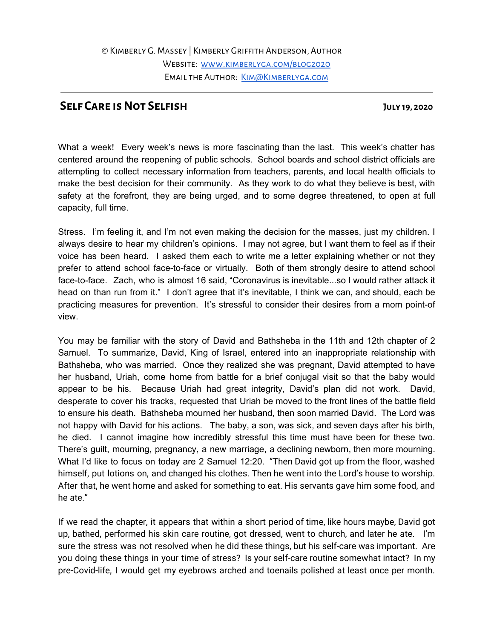## **Self Care isNot Selfish July 19, 2020**

What a week! Every week's news is more fascinating than the last. This week's chatter has centered around the reopening of public schools. School boards and school district officials are attempting to collect necessary information from teachers, parents, and local health officials to make the best decision for their community. As they work to do what they believe is best, with safety at the forefront, they are being urged, and to some degree threatened, to open at full capacity, full time.

Stress. I'm feeling it, and I'm not even making the decision for the masses, just my children. I always desire to hear my children's opinions. I may not agree, but I want them to feel as if their voice has been heard. I asked them each to write me a letter explaining whether or not they prefer to attend school face-to-face or virtually. Both of them strongly desire to attend school face-to-face. Zach, who is almost 16 said, "Coronavirus is inevitable...so I would rather attack it head on than run from it." I don't agree that it's inevitable, I think we can, and should, each be practicing measures for prevention. It's stressful to consider their desires from a mom point-of view.

You may be familiar with the story of David and Bathsheba in the 11th and 12th chapter of 2 Samuel. To summarize, David, King of Israel, entered into an inappropriate relationship with Bathsheba, who was married. Once they realized she was pregnant, David attempted to have her husband, Uriah, come home from battle for a brief conjugal visit so that the baby would appear to be his. Because Uriah had great integrity, David's plan did not work. David, desperate to cover his tracks, requested that Uriah be moved to the front lines of the battle field to ensure his death. Bathsheba mourned her husband, then soon married David. The Lord was not happy with David for his actions. The baby, a son, was sick, and seven days after his birth, he died. I cannot imagine how incredibly stressful this time must have been for these two. There's guilt, mourning, pregnancy, a new marriage, a declining newborn, then more mourning. What I'd like to focus on today are 2 Samuel 12:20. "Then David got up from the floor, washed himself, put lotions on, and changed his clothes. Then he went into the Lord's house to worship. After that, he went home and asked for something to eat. His servants gave him some food, and he ate."

If we read the chapter, it appears that within a short period of time, like hours maybe, David got up, bathed, performed his skin care routine, got dressed, went to church, and later he ate. I'm sure the stress was not resolved when he did these things, but his self-care was important. Are you doing these things in your time of stress? Is your self-care routine somewhat intact? In my pre-Covid-life, I would get my eyebrows arched and toenails polished at least once per month.